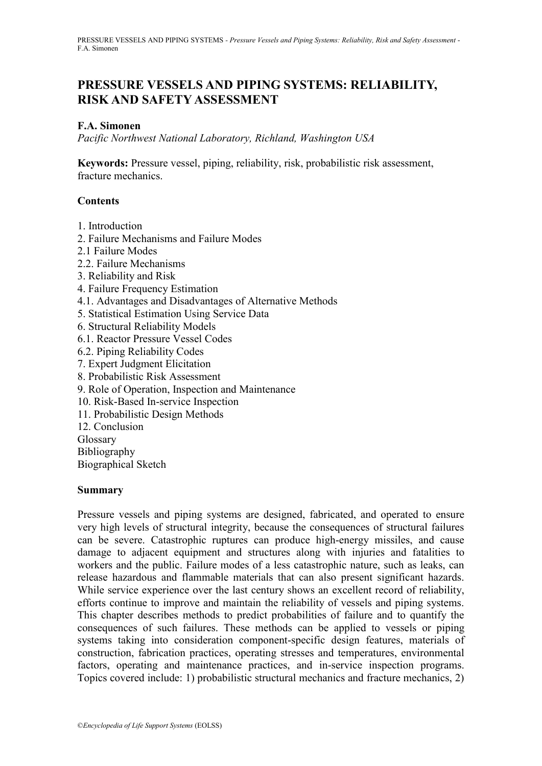# **PRESSURE VESSELS AND PIPING SYSTEMS: RELIABILITY, RISK AND SAFETY ASSESSMENT**

### **F.A. Simonen**

*Pacific Northwest National Laboratory, Richland, Washington USA*

**Keywords:** Pressure vessel, piping, reliability, risk, probabilistic risk assessment, fracture mechanics.

#### **Contents**

- 1. Introduction
- 2. Failure Mechanisms and Failure Modes
- 2.1 Failure Modes
- 2.2. Failure Mechanisms
- 3. Reliability and Risk
- 4. Failure Frequency Estimation
- 4.1. Advantages and Disadvantages of Alternative Methods
- 5. Statistical Estimation Using Service Data
- 6. Structural Reliability Models
- 6.1. Reactor Pressure Vessel Codes
- 6.2. Piping Reliability Codes
- 7. Expert Judgment Elicitation
- 8. Probabilistic Risk Assessment
- 9. Role of Operation, Inspection and Maintenance
- 10. Risk-Based In-service Inspection
- 11. Probabilistic Design Methods
- 12. Conclusion
- Glossary

Bibliography

Biographical Sketch

#### **Summary**

Pressure vessels and piping systems are designed, fabricated, and operated to ensure very high levels of structural integrity, because the consequences of structural failures can be severe. Catastrophic ruptures can produce high-energy missiles, and cause damage to adjacent equipment and structures along with injuries and fatalities to workers and the public. Failure modes of a less catastrophic nature, such as leaks, can release hazardous and flammable materials that can also present significant hazards. While service experience over the last century shows an excellent record of reliability, efforts continue to improve and maintain the reliability of vessels and piping systems. This chapter describes methods to predict probabilities of failure and to quantify the consequences of such failures. These methods can be applied to vessels or piping systems taking into consideration component-specific design features, materials of construction, fabrication practices, operating stresses and temperatures, environmental factors, operating and maintenance practices, and in-service inspection programs. Topics covered include: 1) probabilistic structural mechanics and fracture mechanics, 2)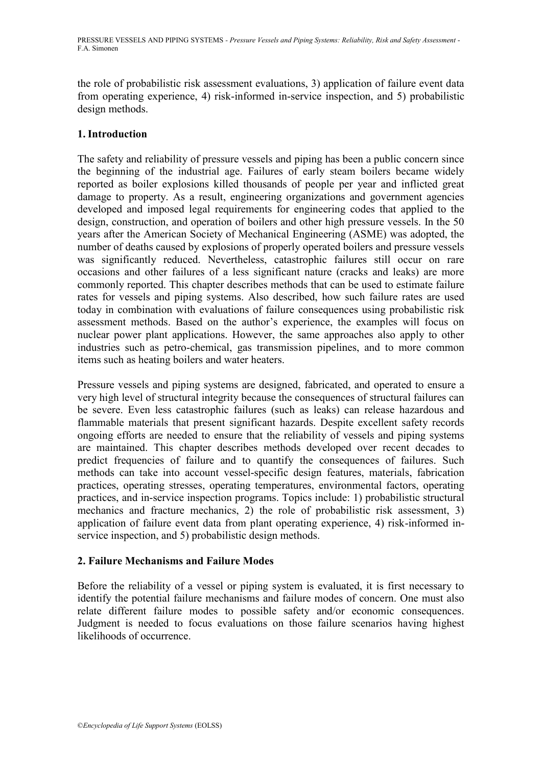the role of probabilistic risk assessment evaluations, 3) application of failure event data from operating experience, 4) risk-informed in-service inspection, and 5) probabilistic design methods.

# **1. Introduction**

The safety and reliability of pressure vessels and piping has been a public concern since the beginning of the industrial age. Failures of early steam boilers became widely reported as boiler explosions killed thousands of people per year and inflicted great damage to property. As a result, engineering organizations and government agencies developed and imposed legal requirements for engineering codes that applied to the design, construction, and operation of boilers and other high pressure vessels. In the 50 years after the American Society of Mechanical Engineering (ASME) was adopted, the number of deaths caused by explosions of properly operated boilers and pressure vessels was significantly reduced. Nevertheless, catastrophic failures still occur on rare occasions and other failures of a less significant nature (cracks and leaks) are more commonly reported. This chapter describes methods that can be used to estimate failure rates for vessels and piping systems. Also described, how such failure rates are used today in combination with evaluations of failure consequences using probabilistic risk assessment methods. Based on the author's experience, the examples will focus on nuclear power plant applications. However, the same approaches also apply to other industries such as petro-chemical, gas transmission pipelines, and to more common items such as heating boilers and water heaters.

Pressure vessels and piping systems are designed, fabricated, and operated to ensure a very high level of structural integrity because the consequences of structural failures can be severe. Even less catastrophic failures (such as leaks) can release hazardous and flammable materials that present significant hazards. Despite excellent safety records ongoing efforts are needed to ensure that the reliability of vessels and piping systems are maintained. This chapter describes methods developed over recent decades to predict frequencies of failure and to quantify the consequences of failures. Such methods can take into account vessel-specific design features, materials, fabrication practices, operating stresses, operating temperatures, environmental factors, operating practices, and in-service inspection programs. Topics include: 1) probabilistic structural mechanics and fracture mechanics, 2) the role of probabilistic risk assessment, 3) application of failure event data from plant operating experience, 4) risk-informed inservice inspection, and 5) probabilistic design methods.

## **2. Failure Mechanisms and Failure Modes**

Before the reliability of a vessel or piping system is evaluated, it is first necessary to identify the potential failure mechanisms and failure modes of concern. One must also relate different failure modes to possible safety and/or economic consequences. Judgment is needed to focus evaluations on those failure scenarios having highest likelihoods of occurrence.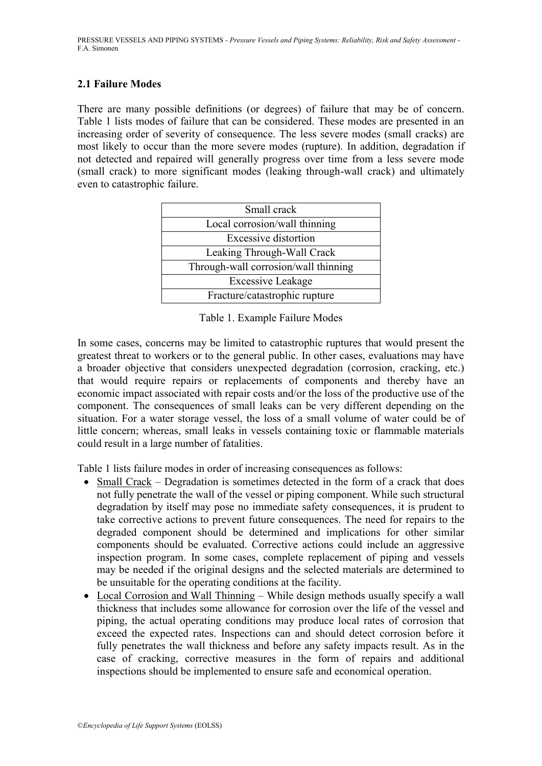### **2.1 Failure Modes**

There are many possible definitions (or degrees) of failure that may be of concern. Table 1 lists modes of failure that can be considered. These modes are presented in an increasing order of severity of consequence. The less severe modes (small cracks) are most likely to occur than the more severe modes (rupture). In addition, degradation if not detected and repaired will generally progress over time from a less severe mode (small crack) to more significant modes (leaking through-wall crack) and ultimately even to catastrophic failure.

| Small crack                          |
|--------------------------------------|
| Local corrosion/wall thinning        |
| <b>Excessive distortion</b>          |
| Leaking Through-Wall Crack           |
| Through-wall corrosion/wall thinning |
| <b>Excessive Leakage</b>             |
| Fracture/catastrophic rupture        |

Table 1. Example Failure Modes

In some cases, concerns may be limited to catastrophic ruptures that would present the greatest threat to workers or to the general public. In other cases, evaluations may have a broader objective that considers unexpected degradation (corrosion, cracking, etc.) that would require repairs or replacements of components and thereby have an economic impact associated with repair costs and/or the loss of the productive use of the component. The consequences of small leaks can be very different depending on the situation. For a water storage vessel, the loss of a small volume of water could be of little concern; whereas, small leaks in vessels containing toxic or flammable materials could result in a large number of fatalities.

Table 1 lists failure modes in order of increasing consequences as follows:

- Small Crack Degradation is sometimes detected in the form of a crack that does not fully penetrate the wall of the vessel or piping component. While such structural degradation by itself may pose no immediate safety consequences, it is prudent to take corrective actions to prevent future consequences. The need for repairs to the degraded component should be determined and implications for other similar components should be evaluated. Corrective actions could include an aggressive inspection program. In some cases, complete replacement of piping and vessels may be needed if the original designs and the selected materials are determined to be unsuitable for the operating conditions at the facility.
- Local Corrosion and Wall Thinning While design methods usually specify a wall thickness that includes some allowance for corrosion over the life of the vessel and piping, the actual operating conditions may produce local rates of corrosion that exceed the expected rates. Inspections can and should detect corrosion before it fully penetrates the wall thickness and before any safety impacts result. As in the case of cracking, corrective measures in the form of repairs and additional inspections should be implemented to ensure safe and economical operation.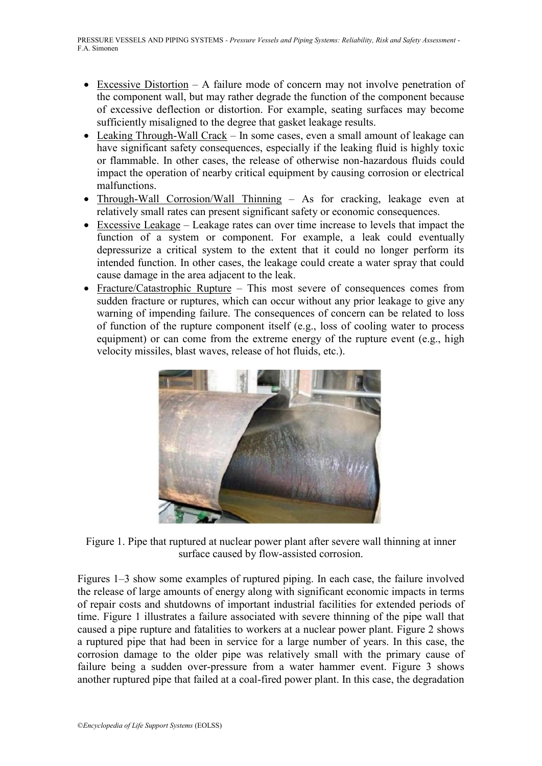- Excessive Distortion A failure mode of concern may not involve penetration of the component wall, but may rather degrade the function of the component because of excessive deflection or distortion. For example, seating surfaces may become sufficiently misaligned to the degree that gasket leakage results.
- Leaking Through-Wall Crack In some cases, even a small amount of leakage can have significant safety consequences, especially if the leaking fluid is highly toxic or flammable. In other cases, the release of otherwise non-hazardous fluids could impact the operation of nearby critical equipment by causing corrosion or electrical malfunctions.
- Through-Wall Corrosion/Wall Thinning As for cracking, leakage even at relatively small rates can present significant safety or economic consequences.
- Excessive Leakage Leakage rates can over time increase to levels that impact the function of a system or component. For example, a leak could eventually depressurize a critical system to the extent that it could no longer perform its intended function. In other cases, the leakage could create a water spray that could cause damage in the area adjacent to the leak.
- Fracture/Catastrophic Rupture This most severe of consequences comes from sudden fracture or ruptures, which can occur without any prior leakage to give any warning of impending failure. The consequences of concern can be related to loss of function of the rupture component itself (e.g., loss of cooling water to process equipment) or can come from the extreme energy of the rupture event (e.g., high velocity missiles, blast waves, release of hot fluids, etc.).



Figure 1. Pipe that ruptured at nuclear power plant after severe wall thinning at inner surface caused by flow-assisted corrosion.

Figures 1–3 show some examples of ruptured piping. In each case, the failure involved the release of large amounts of energy along with significant economic impacts in terms of repair costs and shutdowns of important industrial facilities for extended periods of time. Figure 1 illustrates a failure associated with severe thinning of the pipe wall that caused a pipe rupture and fatalities to workers at a nuclear power plant. Figure 2 shows a ruptured pipe that had been in service for a large number of years. In this case, the corrosion damage to the older pipe was relatively small with the primary cause of failure being a sudden over-pressure from a water hammer event. Figure 3 shows another ruptured pipe that failed at a coal-fired power plant. In this case, the degradation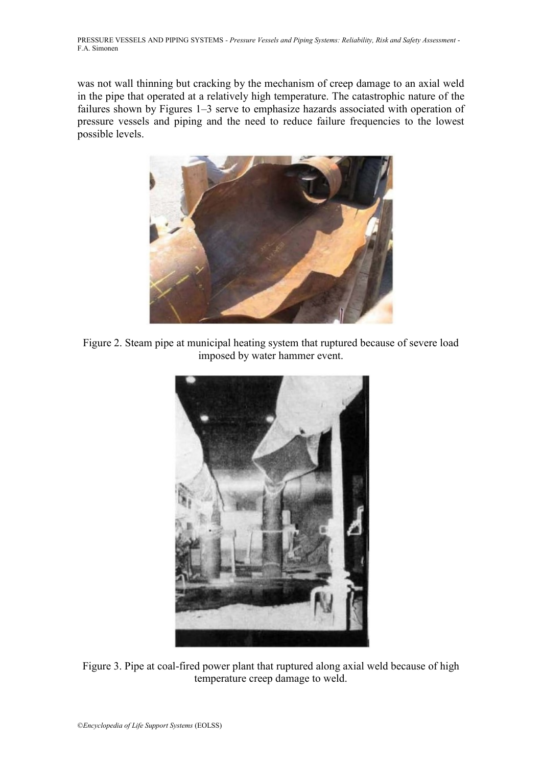was not wall thinning but cracking by the mechanism of creep damage to an axial weld in the pipe that operated at a relatively high temperature. The catastrophic nature of the failures shown by Figures 1–3 serve to emphasize hazards associated with operation of pressure vessels and piping and the need to reduce failure frequencies to the lowest possible levels.



Figure 2. Steam pipe at municipal heating system that ruptured because of severe load imposed by water hammer event.



Figure 3. Pipe at coal-fired power plant that ruptured along axial weld because of high temperature creep damage to weld.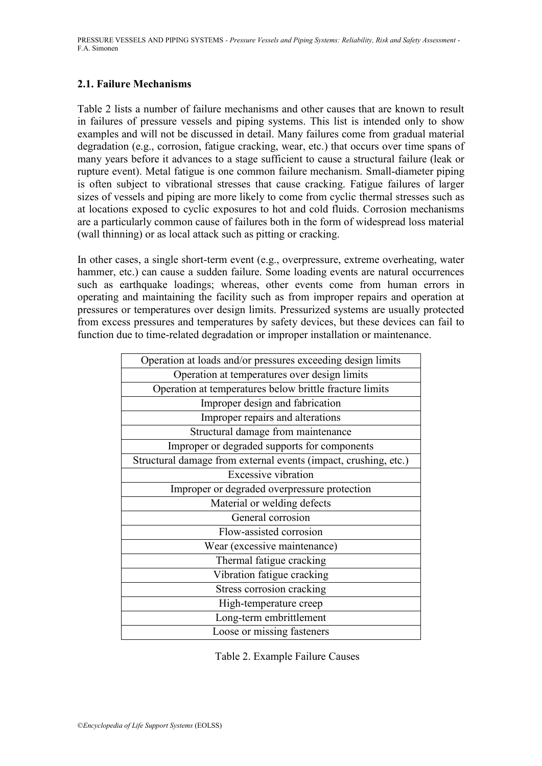### **2.1. Failure Mechanisms**

Table 2 lists a number of failure mechanisms and other causes that are known to result in failures of pressure vessels and piping systems. This list is intended only to show examples and will not be discussed in detail. Many failures come from gradual material degradation (e.g., corrosion, fatigue cracking, wear, etc.) that occurs over time spans of many years before it advances to a stage sufficient to cause a structural failure (leak or rupture event). Metal fatigue is one common failure mechanism. Small-diameter piping is often subject to vibrational stresses that cause cracking. Fatigue failures of larger sizes of vessels and piping are more likely to come from cyclic thermal stresses such as at locations exposed to cyclic exposures to hot and cold fluids. Corrosion mechanisms are a particularly common cause of failures both in the form of widespread loss material (wall thinning) or as local attack such as pitting or cracking.

In other cases, a single short-term event (e.g., overpressure, extreme overheating, water hammer, etc.) can cause a sudden failure. Some loading events are natural occurrences such as earthquake loadings; whereas, other events come from human errors in operating and maintaining the facility such as from improper repairs and operation at pressures or temperatures over design limits. Pressurized systems are usually protected from excess pressures and temperatures by safety devices, but these devices can fail to function due to time-related degradation or improper installation or maintenance.

| Operation at loads and/or pressures exceeding design limits     |
|-----------------------------------------------------------------|
| Operation at temperatures over design limits                    |
| Operation at temperatures below brittle fracture limits         |
| Improper design and fabrication                                 |
| Improper repairs and alterations                                |
| Structural damage from maintenance                              |
| Improper or degraded supports for components                    |
| Structural damage from external events (impact, crushing, etc.) |
| <b>Excessive vibration</b>                                      |
| Improper or degraded overpressure protection                    |
| Material or welding defects                                     |
| General corrosion                                               |
| Flow-assisted corrosion                                         |
| Wear (excessive maintenance)                                    |
| Thermal fatigue cracking                                        |
| Vibration fatigue cracking                                      |
| Stress corrosion cracking                                       |
| High-temperature creep                                          |
| Long-term embrittlement                                         |
| Loose or missing fasteners                                      |
|                                                                 |

Table 2. Example Failure Causes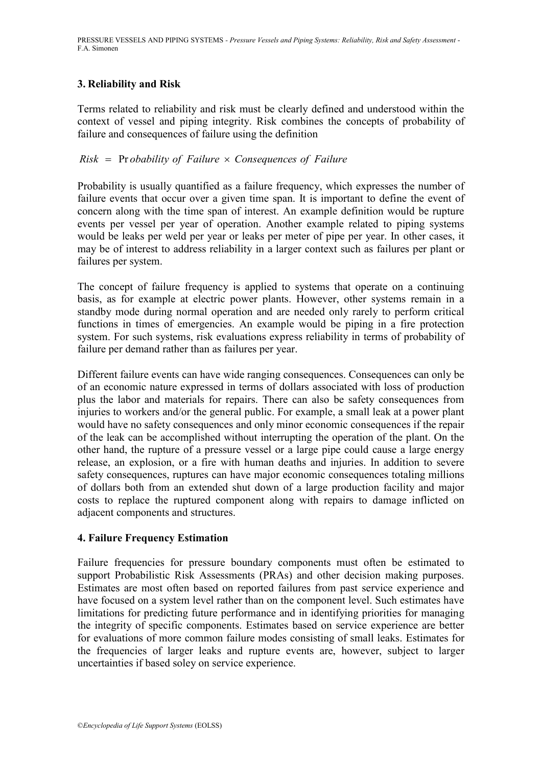# **3. Reliability and Risk**

Terms related to reliability and risk must be clearly defined and understood within the context of vessel and piping integrity. Risk combines the concepts of probability of failure and consequences of failure using the definition<br> $Risk = \text{Probability of Failure} \times \text{Consequences of Failure}$ 

Probability is usually quantified as a failure frequency, which expresses the number of failure events that occur over a given time span. It is important to define the event of concern along with the time span of interest. An example definition would be rupture events per vessel per year of operation. Another example related to piping systems would be leaks per weld per year or leaks per meter of pipe per year. In other cases, it may be of interest to address reliability in a larger context such as failures per plant or failures per system.

The concept of failure frequency is applied to systems that operate on a continuing basis, as for example at electric power plants. However, other systems remain in a standby mode during normal operation and are needed only rarely to perform critical functions in times of emergencies. An example would be piping in a fire protection system. For such systems, risk evaluations express reliability in terms of probability of failure per demand rather than as failures per year.

Different failure events can have wide ranging consequences. Consequences can only be of an economic nature expressed in terms of dollars associated with loss of production plus the labor and materials for repairs. There can also be safety consequences from injuries to workers and/or the general public. For example, a small leak at a power plant would have no safety consequences and only minor economic consequences if the repair of the leak can be accomplished without interrupting the operation of the plant. On the other hand, the rupture of a pressure vessel or a large pipe could cause a large energy release, an explosion, or a fire with human deaths and injuries. In addition to severe safety consequences, ruptures can have major economic consequences totaling millions of dollars both from an extended shut down of a large production facility and major costs to replace the ruptured component along with repairs to damage inflicted on adjacent components and structures.

## **4. Failure Frequency Estimation**

Failure frequencies for pressure boundary components must often be estimated to support Probabilistic Risk Assessments (PRAs) and other decision making purposes. Estimates are most often based on reported failures from past service experience and have focused on a system level rather than on the component level. Such estimates have limitations for predicting future performance and in identifying priorities for managing the integrity of specific components. Estimates based on service experience are better for evaluations of more common failure modes consisting of small leaks. Estimates for the frequencies of larger leaks and rupture events are, however, subject to larger uncertainties if based soley on service experience.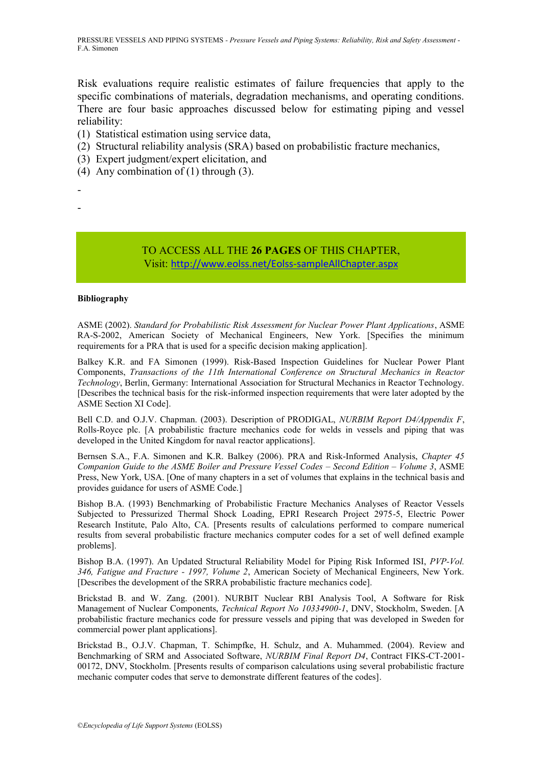Risk evaluations require realistic estimates of failure frequencies that apply to the specific combinations of materials, degradation mechanisms, and operating conditions. There are four basic approaches discussed below for estimating piping and vessel reliability:

- (1) Statistical estimation using service data,
- (2) Structural reliability analysis (SRA) based on probabilistic fracture mechanics,
- (3) Expert judgment/expert elicitation, and
- (4) Any combination of (1) through (3).

- -

## TO ACCESS ALL THE **26 PAGES** OF THIS CHAPTER, Visit: <http://www.eolss.net/Eolss-sampleAllChapter.aspx>

#### **Bibliography**

ASME (2002). *Standard for Probabilistic Risk Assessment for Nuclear Power Plant Applications*, ASME RA-S-2002, American Society of Mechanical Engineers, New York. [Specifies the minimum requirements for a PRA that is used for a specific decision making application].

Balkey K.R. and FA Simonen (1999). Risk-Based Inspection Guidelines for Nuclear Power Plant Components, *Transactions of the 11th International Conference on Structural Mechanics in Reactor Technology*, Berlin, Germany: International Association for Structural Mechanics in Reactor Technology. [Describes the technical basis for the risk-informed inspection requirements that were later adopted by the ASME Section XI Code].

Bell C.D. and O.J.V. Chapman. (2003). Description of PRODIGAL, *NURBIM Report D4/Appendix F*, Rolls-Royce plc. [A probabilistic fracture mechanics code for welds in vessels and piping that was developed in the United Kingdom for naval reactor applications].

Bernsen S.A., F.A. Simonen and K.R. Balkey (2006). PRA and Risk-Informed Analysis, *Chapter 45 Companion Guide to the ASME Boiler and Pressure Vessel Codes – Second Edition – Volume 3*, ASME Press, New York, USA. [One of many chapters in a set of volumes that explains in the technical basis and provides guidance for users of ASME Code.]

Bishop B.A. (1993) Benchmarking of Probabilistic Fracture Mechanics Analyses of Reactor Vessels Subjected to Pressurized Thermal Shock Loading, EPRI Research Project 2975-5, Electric Power Research Institute, Palo Alto, CA. [Presents results of calculations performed to compare numerical results from several probabilistic fracture mechanics computer codes for a set of well defined example problems].

Bishop B.A. (1997). An Updated Structural Reliability Model for Piping Risk Informed ISI, *PVP-Vol. 346, Fatigue and Fracture - 1997, Volume 2*, American Society of Mechanical Engineers, New York. [Describes the development of the SRRA probabilistic fracture mechanics code].

Brickstad B. and W. Zang. (2001). NURBIT Nuclear RBI Analysis Tool, A Software for Risk Management of Nuclear Components, *Technical Report No 10334900-1*, DNV, Stockholm, Sweden. [A probabilistic fracture mechanics code for pressure vessels and piping that was developed in Sweden for commercial power plant applications].

Brickstad B., O.J.V. Chapman, T. Schimpfke, H. Schulz, and A. Muhammed. (2004). Review and Benchmarking of SRM and Associated Software, *NURBIM Final Report D4*, Contract FIKS-CT-2001- 00172, DNV, Stockholm. [Presents results of comparison calculations using several probabilistic fracture mechanic computer codes that serve to demonstrate different features of the codes].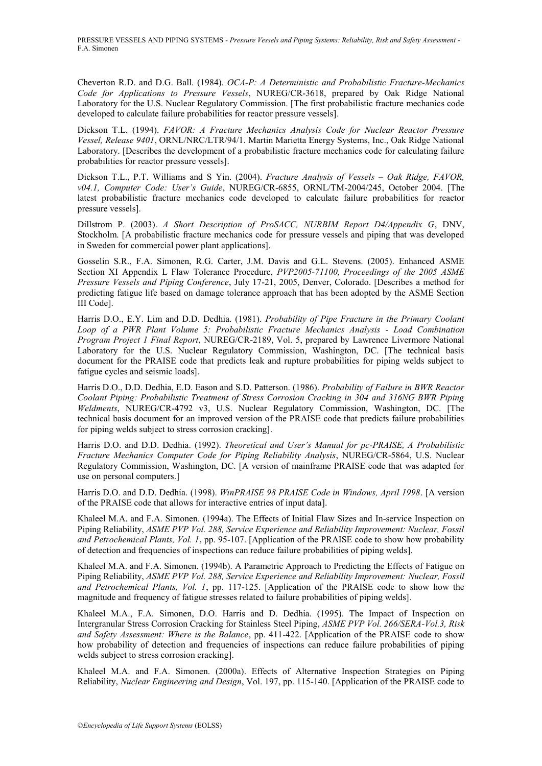Cheverton R.D. and D.G. Ball. (1984). *OCA-P: A Deterministic and Probabilistic Fracture-Mechanics Code for Applications to Pressure Vessels*, NUREG/CR-3618, prepared by Oak Ridge National Laboratory for the U.S. Nuclear Regulatory Commission. [The first probabilistic fracture mechanics code developed to calculate failure probabilities for reactor pressure vessels].

Dickson T.L. (1994). *FAVOR: A Fracture Mechanics Analysis Code for Nuclear Reactor Pressure Vessel, Release 9401*, ORNL/NRC/LTR/94/1. Martin Marietta Energy Systems, Inc., Oak Ridge National Laboratory. [Describes the development of a probabilistic fracture mechanics code for calculating failure probabilities for reactor pressure vessels].

Dickson T.L., P.T. Williams and S Yin. (2004). *Fracture Analysis of Vessels – Oak Ridge, FAVOR, v04.1, Computer Code: User's Guide*, NUREG/CR-6855, ORNL/TM-2004/245, October 2004. [The latest probabilistic fracture mechanics code developed to calculate failure probabilities for reactor pressure vessels].

Dillstrom P. (2003). *A Short Description of ProSACC, NURBIM Report D4/Appendix G*, DNV, Stockholm. [A probabilistic fracture mechanics code for pressure vessels and piping that was developed in Sweden for commercial power plant applications].

Gosselin S.R., F.A. Simonen, R.G. Carter, J.M. Davis and G.L. Stevens. (2005). Enhanced ASME Section XI Appendix L Flaw Tolerance Procedure, *PVP2005-71100, Proceedings of the 2005 ASME Pressure Vessels and Piping Conference*, July 17-21, 2005, Denver, Colorado. [Describes a method for predicting fatigue life based on damage tolerance approach that has been adopted by the ASME Section III Code].

Harris D.O., E.Y. Lim and D.D. Dedhia. (1981). *Probability of Pipe Fracture in the Primary Coolant Loop of a PWR Plant Volume 5: Probabilistic Fracture Mechanics Analysis - Load Combination Program Project 1 Final Report*, NUREG/CR-2189, Vol. 5, prepared by Lawrence Livermore National Laboratory for the U.S. Nuclear Regulatory Commission, Washington, DC. [The technical basis document for the PRAISE code that predicts leak and rupture probabilities for piping welds subject to fatigue cycles and seismic loads].

Harris D.O., D.D. Dedhia, E.D. Eason and S.D. Patterson. (1986). *Probability of Failure in BWR Reactor Coolant Piping: Probabilistic Treatment of Stress Corrosion Cracking in 304 and 316NG BWR Piping Weldments*, NUREG/CR-4792 v3, U.S. Nuclear Regulatory Commission, Washington, DC. [The technical basis document for an improved version of the PRAISE code that predicts failure probabilities for piping welds subject to stress corrosion cracking].

Harris D.O. and D.D. Dedhia. (1992). *Theoretical and User's Manual for pc-PRAISE, A Probabilistic Fracture Mechanics Computer Code for Piping Reliability Analysis*, NUREG/CR-5864, U.S. Nuclear Regulatory Commission, Washington, DC. [A version of mainframe PRAISE code that was adapted for use on personal computers.]

Harris D.O. and D.D. Dedhia. (1998). *WinPRAISE 98 PRAISE Code in Windows, April 1998*. [A version of the PRAISE code that allows for interactive entries of input data].

Khaleel M.A. and F.A. Simonen. (1994a). The Effects of Initial Flaw Sizes and In-service Inspection on Piping Reliability, *ASME PVP Vol. 288, Service Experience and Reliability Improvement: Nuclear, Fossil and Petrochemical Plants, Vol. 1*, pp. 95-107. [Application of the PRAISE code to show how probability of detection and frequencies of inspections can reduce failure probabilities of piping welds].

Khaleel M.A. and F.A. Simonen. (1994b). A Parametric Approach to Predicting the Effects of Fatigue on Piping Reliability, *ASME PVP Vol. 288, Service Experience and Reliability Improvement: Nuclear, Fossil and Petrochemical Plants, Vol. 1*, pp. 117-125. [Application of the PRAISE code to show how the magnitude and frequency of fatigue stresses related to failure probabilities of piping welds].

Khaleel M.A., F.A. Simonen, D.O. Harris and D. Dedhia. (1995). The Impact of Inspection on Intergranular Stress Corrosion Cracking for Stainless Steel Piping, *ASME PVP Vol. 266/SERA-Vol.3, Risk and Safety Assessment: Where is the Balance*, pp. 411-422. [Application of the PRAISE code to show how probability of detection and frequencies of inspections can reduce failure probabilities of piping welds subject to stress corrosion cracking].

Khaleel M.A. and F.A. Simonen. (2000a). Effects of Alternative Inspection Strategies on Piping Reliability, *Nuclear Engineering and Design*, Vol. 197, pp. 115-140. [Application of the PRAISE code to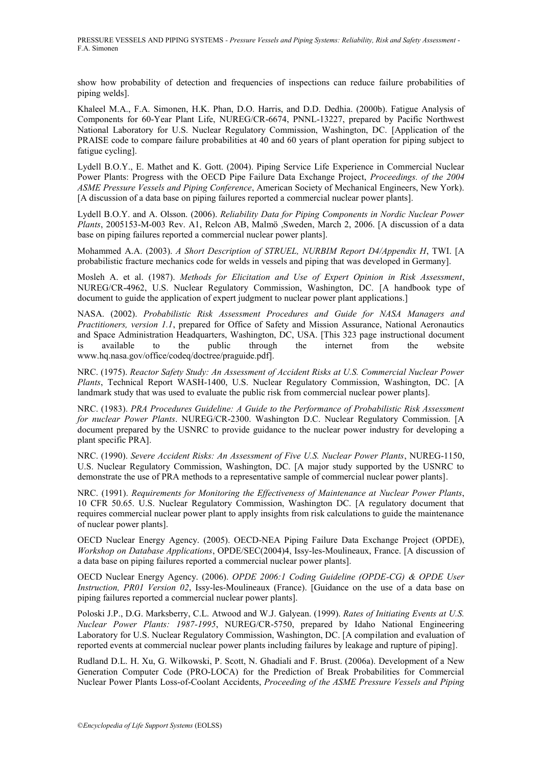show how probability of detection and frequencies of inspections can reduce failure probabilities of piping welds].

Khaleel M.A., F.A. Simonen, H.K. Phan, D.O. Harris, and D.D. Dedhia. (2000b). Fatigue Analysis of Components for 60-Year Plant Life, NUREG/CR-6674, PNNL-13227, prepared by Pacific Northwest National Laboratory for U.S. Nuclear Regulatory Commission, Washington, DC. [Application of the PRAISE code to compare failure probabilities at 40 and 60 years of plant operation for piping subject to fatigue cycling].

Lydell B.O.Y., E. Mathet and K. Gott. (2004). Piping Service Life Experience in Commercial Nuclear Power Plants: Progress with the OECD Pipe Failure Data Exchange Project, *Proceedings. of the 2004 ASME Pressure Vessels and Piping Conference*, American Society of Mechanical Engineers, New York). [A discussion of a data base on piping failures reported a commercial nuclear power plants].

Lydell B.O.Y. and A. Olsson. (2006). *Reliability Data for Piping Components in Nordic Nuclear Power Plants*, 2005153-M-003 Rev. A1, Relcon AB, Malmö ,Sweden, March 2, 2006. [A discussion of a data base on piping failures reported a commercial nuclear power plants].

Mohammed A.A. (2003). *A Short Description of STRUEL, NURBIM Report D4/Appendix H*, TWI. [A probabilistic fracture mechanics code for welds in vessels and piping that was developed in Germany].

Mosleh A. et al. (1987). *Methods for Elicitation and Use of Expert Opinion in Risk Assessment*, NUREG/CR-4962, U.S. Nuclear Regulatory Commission, Washington, DC. [A handbook type of document to guide the application of expert judgment to nuclear power plant applications.]

NASA. (2002). *Probabilistic Risk Assessment Procedures and Guide for NASA Managers and Practitioners, version 1.1*, prepared for Office of Safety and Mission Assurance, National Aeronautics and Space Administration Headquarters, Washington, DC, USA. [This 323 page instructional document is available to the public through the internet from the website www.hq.nasa.gov/office/codeq/doctree/praguide.pdf].

NRC. (1975). *Reactor Safety Study: An Assessment of Accident Risks at U.S. Commercial Nuclear Power Plants*, Technical Report WASH-1400, U.S. Nuclear Regulatory Commission, Washington, DC. [A landmark study that was used to evaluate the public risk from commercial nuclear power plants].

NRC. (1983). *PRA Procedures Guideline: A Guide to the Performance of Probabilistic Risk Assessment for nuclear Power Plants*. NUREG/CR-2300. Washington D.C. Nuclear Regulatory Commission. [A document prepared by the USNRC to provide guidance to the nuclear power industry for developing a plant specific PRA].

NRC. (1990). *Severe Accident Risks: An Assessment of Five U.S. Nuclear Power Plants*, NUREG-1150, U.S. Nuclear Regulatory Commission, Washington, DC. [A major study supported by the USNRC to demonstrate the use of PRA methods to a representative sample of commercial nuclear power plants].

NRC. (1991). *Requirements for Monitoring the Effectiveness of Maintenance at Nuclear Power Plants*, 10 CFR 50.65. U.S. Nuclear Regulatory Commission, Washington DC. [A regulatory document that requires commercial nuclear power plant to apply insights from risk calculations to guide the maintenance of nuclear power plants].

OECD Nuclear Energy Agency. (2005). OECD-NEA Piping Failure Data Exchange Project (OPDE), *Workshop on Database Applications*, OPDE/SEC(2004)4, Issy-les-Moulineaux, France. [A discussion of a data base on piping failures reported a commercial nuclear power plants].

OECD Nuclear Energy Agency. (2006). *OPDE 2006:1 Coding Guideline (OPDE-CG) & OPDE User Instruction, PR01 Version 02*, Issy-les-Moulineaux (France). [Guidance on the use of a data base on piping failures reported a commercial nuclear power plants].

Poloski J.P., D.G. Marksberry, C.L. Atwood and W.J. Galyean. (1999). *Rates of Initiating Events at U.S. Nuclear Power Plants: 1987-1995*, NUREG/CR-5750, prepared by Idaho National Engineering Laboratory for U.S. Nuclear Regulatory Commission, Washington, DC. [A compilation and evaluation of reported events at commercial nuclear power plants including failures by leakage and rupture of piping].

Rudland D.L. H. Xu, G. Wilkowski, P. Scott, N. Ghadiali and F. Brust. (2006a). Development of a New Generation Computer Code (PRO-LOCA) for the Prediction of Break Probabilities for Commercial Nuclear Power Plants Loss-of-Coolant Accidents, *Proceeding of the ASME Pressure Vessels and Piping*